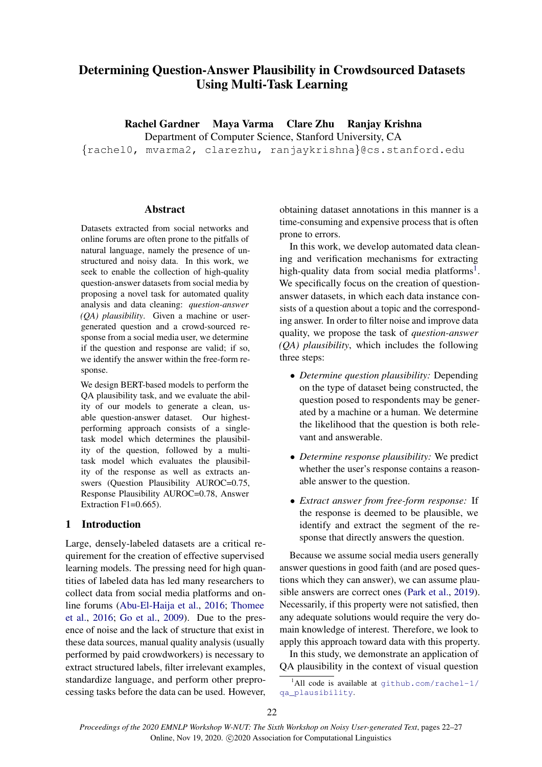# Determining Question-Answer Plausibility in Crowdsourced Datasets Using Multi-Task Learning

Rachel Gardner Maya Varma Clare Zhu Ranjay Krishna

Department of Computer Science, Stanford University, CA

{rachel0, mvarma2, clarezhu, ranjaykrishna}@cs.stanford.edu

## Abstract

Datasets extracted from social networks and online forums are often prone to the pitfalls of natural language, namely the presence of unstructured and noisy data. In this work, we seek to enable the collection of high-quality question-answer datasets from social media by proposing a novel task for automated quality analysis and data cleaning: *question-answer (QA) plausibility*. Given a machine or usergenerated question and a crowd-sourced response from a social media user, we determine if the question and response are valid; if so, we identify the answer within the free-form response.

We design BERT-based models to perform the QA plausibility task, and we evaluate the ability of our models to generate a clean, usable question-answer dataset. Our highestperforming approach consists of a singletask model which determines the plausibility of the question, followed by a multitask model which evaluates the plausibility of the response as well as extracts answers (Question Plausibility AUROC=0.75, Response Plausibility AUROC=0.78, Answer Extraction  $F1=0.665$ ).

# 1 Introduction

Large, densely-labeled datasets are a critical requirement for the creation of effective supervised learning models. The pressing need for high quantities of labeled data has led many researchers to collect data from social media platforms and online forums [\(Abu-El-Haija et al.,](#page-4-0) [2016;](#page-4-0) [Thomee](#page-5-0) [et al.,](#page-5-0) [2016;](#page-5-0) [Go et al.,](#page-4-1) [2009\)](#page-4-1). Due to the presence of noise and the lack of structure that exist in these data sources, manual quality analysis (usually performed by paid crowdworkers) is necessary to extract structured labels, filter irrelevant examples, standardize language, and perform other preprocessing tasks before the data can be used. However,

obtaining dataset annotations in this manner is a time-consuming and expensive process that is often prone to errors.

In this work, we develop automated data cleaning and verification mechanisms for extracting high-quality data from social media platforms<sup>[1](#page-0-0)</sup>. We specifically focus on the creation of questionanswer datasets, in which each data instance consists of a question about a topic and the corresponding answer. In order to filter noise and improve data quality, we propose the task of *question-answer (QA) plausibility*, which includes the following three steps:

- *Determine question plausibility:* Depending on the type of dataset being constructed, the question posed to respondents may be generated by a machine or a human. We determine the likelihood that the question is both relevant and answerable.
- *Determine response plausibility:* We predict whether the user's response contains a reasonable answer to the question.
- *Extract answer from free-form response:* If the response is deemed to be plausible, we identify and extract the segment of the response that directly answers the question.

Because we assume social media users generally answer questions in good faith (and are posed questions which they can answer), we can assume plausible answers are correct ones [\(Park et al.,](#page-4-2) [2019\)](#page-4-2). Necessarily, if this property were not satisfied, then any adequate solutions would require the very domain knowledge of interest. Therefore, we look to apply this approach toward data with this property.

In this study, we demonstrate an application of QA plausibility in the context of visual question

<span id="page-0-0"></span><sup>&</sup>lt;sup>1</sup>All code is available at  $q$ ithub.com/rachel-1/ [qa\\_plausibility](github.com/rachel-1/qa_plausibility).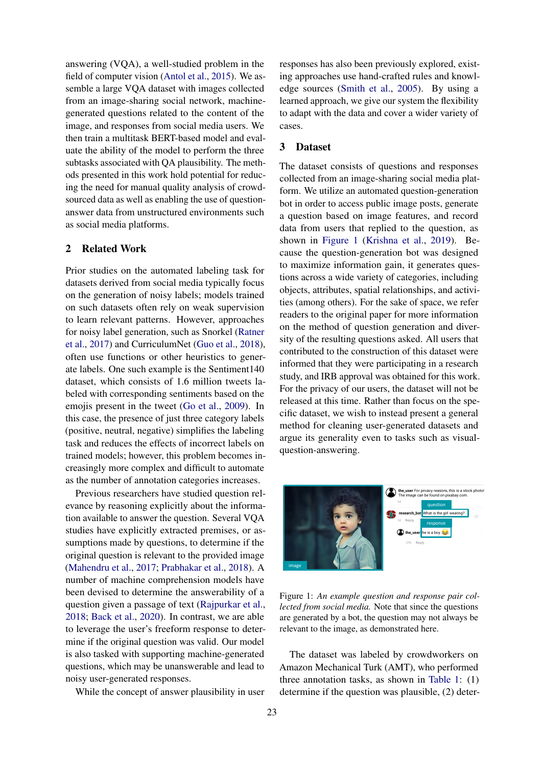answering (VQA), a well-studied problem in the field of computer vision [\(Antol et al.,](#page-4-3) [2015\)](#page-4-3). We assemble a large VQA dataset with images collected from an image-sharing social network, machinegenerated questions related to the content of the image, and responses from social media users. We then train a multitask BERT-based model and evaluate the ability of the model to perform the three subtasks associated with QA plausibility. The methods presented in this work hold potential for reducing the need for manual quality analysis of crowdsourced data as well as enabling the use of questionanswer data from unstructured environments such as social media platforms.

## 2 Related Work

Prior studies on the automated labeling task for datasets derived from social media typically focus on the generation of noisy labels; models trained on such datasets often rely on weak supervision to learn relevant patterns. However, approaches for noisy label generation, such as Snorkel [\(Ratner](#page-4-4) [et al.,](#page-4-4) [2017\)](#page-4-4) and CurriculumNet [\(Guo et al.,](#page-4-5) [2018\)](#page-4-5), often use functions or other heuristics to generate labels. One such example is the Sentiment140 dataset, which consists of 1.6 million tweets labeled with corresponding sentiments based on the emojis present in the tweet [\(Go et al.,](#page-4-1) [2009\)](#page-4-1). In this case, the presence of just three category labels (positive, neutral, negative) simplifies the labeling task and reduces the effects of incorrect labels on trained models; however, this problem becomes increasingly more complex and difficult to automate as the number of annotation categories increases.

Previous researchers have studied question relevance by reasoning explicitly about the information available to answer the question. Several VQA studies have explicitly extracted premises, or assumptions made by questions, to determine if the original question is relevant to the provided image [\(Mahendru et al.,](#page-4-6) [2017;](#page-4-6) [Prabhakar et al.,](#page-4-7) [2018\)](#page-4-7). A number of machine comprehension models have been devised to determine the answerability of a question given a passage of text [\(Rajpurkar et al.,](#page-4-8) [2018;](#page-4-8) [Back et al.,](#page-4-9) [2020\)](#page-4-9). In contrast, we are able to leverage the user's freeform response to determine if the original question was valid. Our model is also tasked with supporting machine-generated questions, which may be unanswerable and lead to noisy user-generated responses.

While the concept of answer plausibility in user

responses has also been previously explored, existing approaches use hand-crafted rules and knowledge sources [\(Smith et al.,](#page-5-1) [2005\)](#page-5-1). By using a learned approach, we give our system the flexibility to adapt with the data and cover a wider variety of cases.

#### 3 Dataset

The dataset consists of questions and responses collected from an image-sharing social media platform. We utilize an automated question-generation bot in order to access public image posts, generate a question based on image features, and record data from users that replied to the question, as shown in [Figure 1](#page-1-0) [\(Krishna et al.,](#page-4-10) [2019\)](#page-4-10). Because the question-generation bot was designed to maximize information gain, it generates questions across a wide variety of categories, including objects, attributes, spatial relationships, and activities (among others). For the sake of space, we refer readers to the original paper for more information on the method of question generation and diversity of the resulting questions asked. All users that contributed to the construction of this dataset were informed that they were participating in a research study, and IRB approval was obtained for this work. For the privacy of our users, the dataset will not be released at this time. Rather than focus on the specific dataset, we wish to instead present a general method for cleaning user-generated datasets and argue its generality even to tasks such as visualquestion-answering.

<span id="page-1-0"></span>

Figure 1: *An example question and response pair collected from social media.* Note that since the questions are generated by a bot, the question may not always be relevant to the image, as demonstrated here.

The dataset was labeled by crowdworkers on Amazon Mechanical Turk (AMT), who performed three annotation tasks, as shown in [Table 1:](#page-2-0) (1) determine if the question was plausible, (2) deter-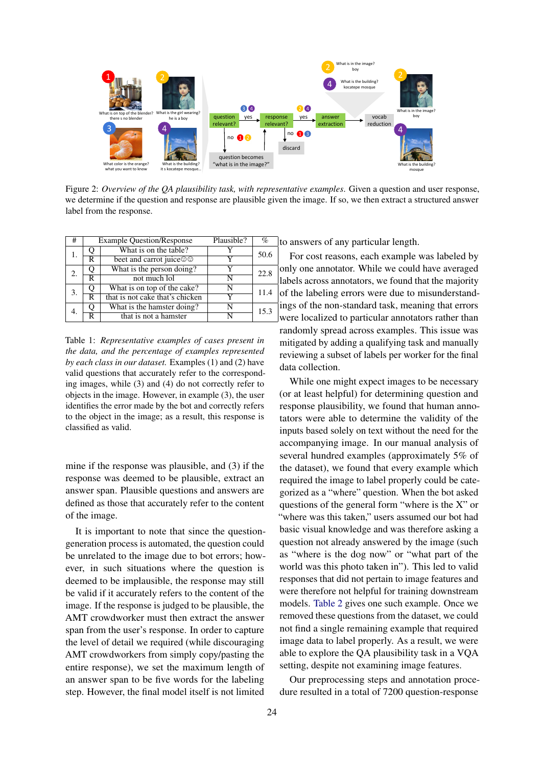

Figure 2: *Overview of the QA plausibility task, with representative examples*. Given a question and user response, we determine if the question and response are plausible given the image. If so, we then extract a structured answer label from the response.

<span id="page-2-0"></span>

| #              |   | <b>Example Question/Response</b> | Plausible? | $\%$             | t        |
|----------------|---|----------------------------------|------------|------------------|----------|
|                |   | What is on the table?            |            | 50.6             |          |
|                | R | beet and carrot juice©©          |            |                  |          |
| $\mathfrak{D}$ |   | What is the person doing?        |            | $\Omega$<br>22.8 |          |
|                | R | not much lol                     |            |                  | k        |
| 3.             |   | What is on top of the cake?      | N          | 11.4             |          |
|                | R | that is not cake that's chicken  |            |                  | $\Omega$ |
|                |   | What is the hamster doing?       | N          | 15.3             | 11       |
|                | R | that is not a hamster            |            |                  | W        |

Table 1: *Representative examples of cases present in the data, and the percentage of examples represented by each class in our dataset.* Examples (1) and (2) have valid questions that accurately refer to the corresponding images, while (3) and (4) do not correctly refer to objects in the image. However, in example (3), the user identifies the error made by the bot and correctly refers to the object in the image; as a result, this response is classified as valid.

mine if the response was plausible, and (3) if the response was deemed to be plausible, extract an answer span. Plausible questions and answers are defined as those that accurately refer to the content of the image.

It is important to note that since the questiongeneration process is automated, the question could be unrelated to the image due to bot errors; however, in such situations where the question is deemed to be implausible, the response may still be valid if it accurately refers to the content of the image. If the response is judged to be plausible, the AMT crowdworker must then extract the answer span from the user's response. In order to capture the level of detail we required (while discouraging AMT crowdworkers from simply copy/pasting the entire response), we set the maximum length of an answer span to be five words for the labeling step. However, the final model itself is not limited o answers of any particular length.

For cost reasons, each example was labeled by only one annotator. While we could have averaged labels across annotators, we found that the majority of the labeling errors were due to misunderstandngs of the non-standard task, meaning that errors were localized to particular annotators rather than randomly spread across examples. This issue was mitigated by adding a qualifying task and manually reviewing a subset of labels per worker for the final data collection.

While one might expect images to be necessary (or at least helpful) for determining question and response plausibility, we found that human annotators were able to determine the validity of the inputs based solely on text without the need for the accompanying image. In our manual analysis of several hundred examples (approximately 5% of the dataset), we found that every example which required the image to label properly could be categorized as a "where" question. When the bot asked questions of the general form "where is the X" or "where was this taken," users assumed our bot had basic visual knowledge and was therefore asking a question not already answered by the image (such as "where is the dog now" or "what part of the world was this photo taken in"). This led to valid responses that did not pertain to image features and were therefore not helpful for training downstream models. [Table 2](#page-3-0) gives one such example. Once we removed these questions from the dataset, we could not find a single remaining example that required image data to label properly. As a result, we were able to explore the QA plausibility task in a VQA setting, despite not examining image features.

Our preprocessing steps and annotation procedure resulted in a total of 7200 question-response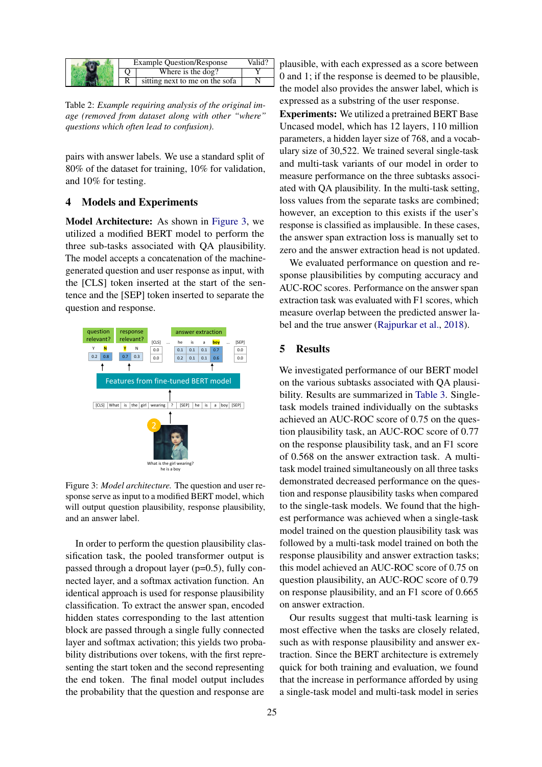<span id="page-3-0"></span>

|  | <b>Example Question/Response</b> | Valid' |
|--|----------------------------------|--------|
|  | Where is the dog?                |        |
|  | sitting next to me on the sofa   |        |

Table 2: *Example requiring analysis of the original image (removed from dataset along with other "where" questions which often lead to confusion)*.

pairs with answer labels. We use a standard split of 80% of the dataset for training, 10% for validation, and 10% for testing.

## 4 Models and Experiments

Model Architecture: As shown in [Figure 3,](#page-3-1) we utilized a modified BERT model to perform the three sub-tasks associated with QA plausibility. The model accepts a concatenation of the machinegenerated question and user response as input, with the [CLS] token inserted at the start of the sentence and the [SEP] token inserted to separate the question and response.

<span id="page-3-1"></span>

Figure 3: *Model architecture.* The question and user response serve as input to a modified BERT model, which will output question plausibility, response plausibility, and an answer label.

In order to perform the question plausibility classification task, the pooled transformer output is passed through a dropout layer (p=0.5), fully connected layer, and a softmax activation function. An identical approach is used for response plausibility classification. To extract the answer span, encoded hidden states corresponding to the last attention block are passed through a single fully connected layer and softmax activation; this yields two probability distributions over tokens, with the first representing the start token and the second representing the end token. The final model output includes the probability that the question and response are plausible, with each expressed as a score between 0 and 1; if the response is deemed to be plausible, the model also provides the answer label, which is expressed as a substring of the user response.

Experiments: We utilized a pretrained BERT Base Uncased model, which has 12 layers, 110 million parameters, a hidden layer size of 768, and a vocabulary size of 30,522. We trained several single-task and multi-task variants of our model in order to measure performance on the three subtasks associated with QA plausibility. In the multi-task setting, loss values from the separate tasks are combined; however, an exception to this exists if the user's response is classified as implausible. In these cases, the answer span extraction loss is manually set to zero and the answer extraction head is not updated.

We evaluated performance on question and response plausibilities by computing accuracy and AUC-ROC scores. Performance on the answer span extraction task was evaluated with F1 scores, which measure overlap between the predicted answer label and the true answer [\(Rajpurkar et al.,](#page-4-8) [2018\)](#page-4-8).

#### 5 Results

We investigated performance of our BERT model on the various subtasks associated with QA plausibility. Results are summarized in [Table 3.](#page-4-11) Singletask models trained individually on the subtasks achieved an AUC-ROC score of 0.75 on the question plausibility task, an AUC-ROC score of 0.77 on the response plausibility task, and an F1 score of 0.568 on the answer extraction task. A multitask model trained simultaneously on all three tasks demonstrated decreased performance on the question and response plausibility tasks when compared to the single-task models. We found that the highest performance was achieved when a single-task model trained on the question plausibility task was followed by a multi-task model trained on both the response plausibility and answer extraction tasks; this model achieved an AUC-ROC score of 0.75 on question plausibility, an AUC-ROC score of 0.79 on response plausibility, and an F1 score of 0.665 on answer extraction.

Our results suggest that multi-task learning is most effective when the tasks are closely related, such as with response plausibility and answer extraction. Since the BERT architecture is extremely quick for both training and evaluation, we found that the increase in performance afforded by using a single-task model and multi-task model in series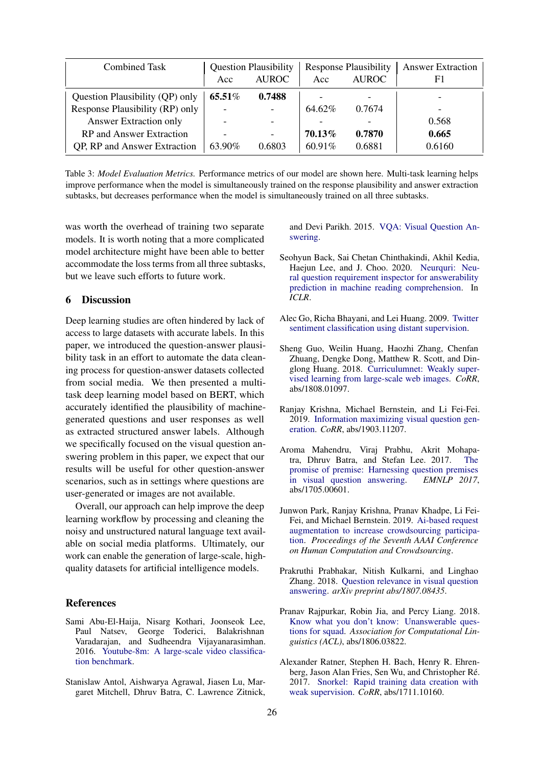<span id="page-4-11"></span>

| <b>Combined Task</b>            | <b>Question Plausibility</b> |              | <b>Response Plausibility</b> |                          | <b>Answer Extraction</b> |
|---------------------------------|------------------------------|--------------|------------------------------|--------------------------|--------------------------|
|                                 | Acc                          | <b>AUROC</b> | Acc                          | <b>AUROC</b>             | F1                       |
| Question Plausibility (QP) only | 65.51%                       | 0.7488       |                              | $\overline{\phantom{0}}$ |                          |
| Response Plausibility (RP) only |                              |              | 64.62%                       | 0.7674                   |                          |
| Answer Extraction only          |                              |              |                              |                          | 0.568                    |
| RP and Answer Extraction        |                              |              | 70.13%                       | 0.7870                   | 0.665                    |
| QP, RP and Answer Extraction    | 63.90%                       | 0.6803       | 60.91%                       | 0.6881                   | 0.6160                   |

Table 3: *Model Evaluation Metrics.* Performance metrics of our model are shown here. Multi-task learning helps improve performance when the model is simultaneously trained on the response plausibility and answer extraction subtasks, but decreases performance when the model is simultaneously trained on all three subtasks.

was worth the overhead of training two separate models. It is worth noting that a more complicated model architecture might have been able to better accommodate the loss terms from all three subtasks, but we leave such efforts to future work.

# 6 Discussion

Deep learning studies are often hindered by lack of access to large datasets with accurate labels. In this paper, we introduced the question-answer plausibility task in an effort to automate the data cleaning process for question-answer datasets collected from social media. We then presented a multitask deep learning model based on BERT, which accurately identified the plausibility of machinegenerated questions and user responses as well as extracted structured answer labels. Although we specifically focused on the visual question answering problem in this paper, we expect that our results will be useful for other question-answer scenarios, such as in settings where questions are user-generated or images are not available.

Overall, our approach can help improve the deep learning workflow by processing and cleaning the noisy and unstructured natural language text available on social media platforms. Ultimately, our work can enable the generation of large-scale, highquality datasets for artificial intelligence models.

#### References

- <span id="page-4-0"></span>Sami Abu-El-Haija, Nisarg Kothari, Joonseok Lee, Paul Natsev, George Toderici, Balakrishnan Varadarajan, and Sudheendra Vijayanarasimhan. 2016. [Youtube-8m: A large-scale video classifica](http://arxiv.org/abs/1609.08675)[tion benchmark.](http://arxiv.org/abs/1609.08675)
- <span id="page-4-3"></span>Stanislaw Antol, Aishwarya Agrawal, Jiasen Lu, Margaret Mitchell, Dhruv Batra, C. Lawrence Zitnick,

and Devi Parikh. 2015. [VQA: Visual Question An](https://arxiv.org/abs/1505.00468)[swering.](https://arxiv.org/abs/1505.00468)

- <span id="page-4-9"></span>Seohyun Back, Sai Chetan Chinthakindi, Akhil Kedia, Haejun Lee, and J. Choo. 2020. [Neurquri: Neu](https://iclr.cc/virtual_2020/poster_ryxgsCVYPr.html)[ral question requirement inspector for answerability](https://iclr.cc/virtual_2020/poster_ryxgsCVYPr.html) [prediction in machine reading comprehension.](https://iclr.cc/virtual_2020/poster_ryxgsCVYPr.html) In *ICLR*.
- <span id="page-4-1"></span>Alec Go, Richa Bhayani, and Lei Huang. 2009. [Twitter](http://cs.stanford.edu/people/alecmgo/papers/TwitterDistantSupervision09.pdf) [sentiment classification using distant supervision.](http://cs.stanford.edu/people/alecmgo/papers/TwitterDistantSupervision09.pdf)
- <span id="page-4-5"></span>Sheng Guo, Weilin Huang, Haozhi Zhang, Chenfan Zhuang, Dengke Dong, Matthew R. Scott, and Dinglong Huang. 2018. [Curriculumnet: Weakly super](http://arxiv.org/abs/1808.01097)[vised learning from large-scale web images.](http://arxiv.org/abs/1808.01097) *CoRR*, abs/1808.01097.
- <span id="page-4-10"></span>Ranjay Krishna, Michael Bernstein, and Li Fei-Fei. 2019. [Information maximizing visual question gen](http://arxiv.org/abs/1903.11207)[eration.](http://arxiv.org/abs/1903.11207) *CoRR*, abs/1903.11207.
- <span id="page-4-6"></span>Aroma Mahendru, Viraj Prabhu, Akrit Mohapatra, Dhruv Batra, and Stefan Lee. 2017. [The](http://arxiv.org/abs/1705.00601) [promise of premise: Harnessing question premises](http://arxiv.org/abs/1705.00601) [in visual question answering.](http://arxiv.org/abs/1705.00601) *EMNLP 2017*, abs/1705.00601.
- <span id="page-4-2"></span>Junwon Park, Ranjay Krishna, Pranav Khadpe, Li Fei-Fei, and Michael Bernstein. 2019. [Ai-based request](https://www.aaai.org/ojs/index.php/HCOMP/article/view/5282) [augmentation to increase crowdsourcing participa](https://www.aaai.org/ojs/index.php/HCOMP/article/view/5282)[tion.](https://www.aaai.org/ojs/index.php/HCOMP/article/view/5282) *Proceedings of the Seventh AAAI Conference on Human Computation and Crowdsourcing*.
- <span id="page-4-7"></span>Prakruthi Prabhakar, Nitish Kulkarni, and Linghao Zhang. 2018. [Question relevance in visual question](http://arxiv.org/abs/1807.08435) [answering.](http://arxiv.org/abs/1807.08435) *arXiv preprint abs/1807.08435*.
- <span id="page-4-8"></span>Pranav Rajpurkar, Robin Jia, and Percy Liang. 2018. [Know what you don't know: Unanswerable ques](http://arxiv.org/abs/1806.03822)[tions for squad.](http://arxiv.org/abs/1806.03822) *Association for Computational Linguistics (ACL)*, abs/1806.03822.
- <span id="page-4-4"></span>Alexander Ratner, Stephen H. Bach, Henry R. Ehrenberg, Jason Alan Fries, Sen Wu, and Christopher Ré. 2017. [Snorkel: Rapid training data creation with](http://arxiv.org/abs/1711.10160) [weak supervision.](http://arxiv.org/abs/1711.10160) *CoRR*, abs/1711.10160.